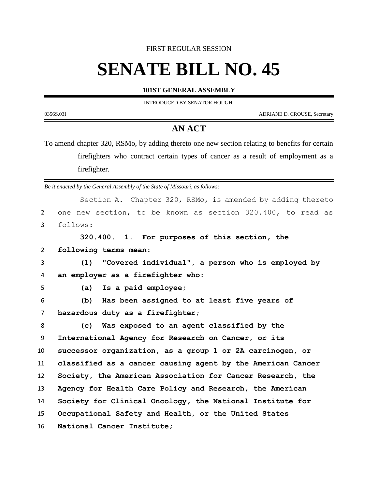FIRST REGULAR SESSION

## **SENATE BILL NO. 45**

## **101ST GENERAL ASSEMBLY**

INTRODUCED BY SENATOR HOUGH.

0356S.03I ADRIANE D. CROUSE, Secretary

## **AN ACT**

To amend chapter 320, RSMo, by adding thereto one new section relating to benefits for certain firefighters who contract certain types of cancer as a result of employment as a firefighter.

*Be it enacted by the General Assembly of the State of Missouri, as follows:*

|                | Section A. Chapter 320, RSMo, is amended by adding thereto  |
|----------------|-------------------------------------------------------------|
| 2              | one new section, to be known as section 320.400, to read as |
| 3              | follows:                                                    |
|                | 320.400. 1. For purposes of this section, the               |
| 2              | following terms mean:                                       |
| 3              | (1) "Covered individual", a person who is employed by       |
| 4              | an employer as a firefighter who:                           |
| 5              | Is a paid employee;<br>(a)                                  |
| 6              | Has been assigned to at least five years of<br>(b)          |
| $\overline{7}$ | hazardous duty as a firefighter;                            |
| 8              | (c) Was exposed to an agent classified by the               |
| 9              | International Agency for Research on Cancer, or its         |
| 10             | successor organization, as a group 1 or 2A carcinogen, or   |
| 11             | classified as a cancer causing agent by the American Cancer |
| 12             | Society, the American Association for Cancer Research, the  |
| 13             | Agency for Health Care Policy and Research, the American    |
| 14             | Society for Clinical Oncology, the National Institute for   |
| 15             | Occupational Safety and Health, or the United States        |
| 16             | National Cancer Institute;                                  |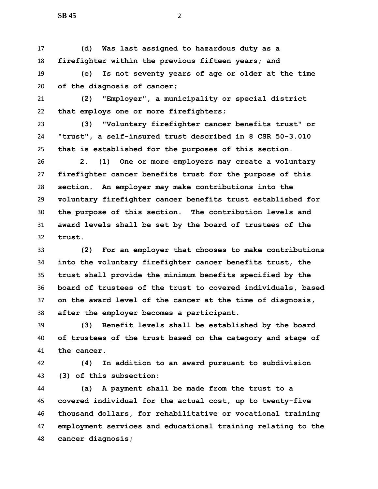**(d) Was last assigned to hazardous duty as a firefighter within the previous fifteen years; and**

 **(e) Is not seventy years of age or older at the time of the diagnosis of cancer;**

 **(2) "Employer", a municipality or special district that employs one or more firefighters;**

 **(3) "Voluntary firefighter cancer benefits trust" or "trust", a self-insured trust described in 8 CSR 50-3.010 that is established for the purposes of this section.**

 **2. (1) One or more employers may create a voluntary firefighter cancer benefits trust for the purpose of this section. An employer may make contributions into the voluntary firefighter cancer benefits trust established for the purpose of this section. The contribution levels and award levels shall be set by the board of trustees of the trust.**

 **(2) For an employer that chooses to make contributions into the voluntary firefighter cancer benefits trust, the trust shall provide the minimum benefits specified by the board of trustees of the trust to covered individuals, based on the award level of the cancer at the time of diagnosis, after the employer becomes a participant.**

 **(3) Benefit levels shall be established by the board of trustees of the trust based on the category and stage of the cancer.**

 **(4) In addition to an award pursuant to subdivision (3) of this subsection:**

 **(a) A payment shall be made from the trust to a covered individual for the actual cost, up to twenty-five thousand dollars, for rehabilitative or vocational training employment services and educational training relating to the cancer diagnosis;**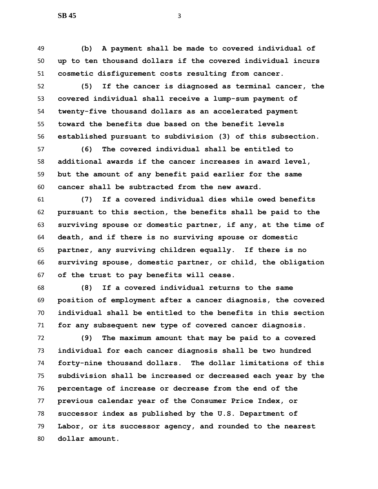**(b) A payment shall be made to covered individual of up to ten thousand dollars if the covered individual incurs cosmetic disfigurement costs resulting from cancer.**

 **(5) If the cancer is diagnosed as terminal cancer, the covered individual shall receive a lump-sum payment of twenty-five thousand dollars as an accelerated payment toward the benefits due based on the benefit levels established pursuant to subdivision (3) of this subsection.**

 **(6) The covered individual shall be entitled to additional awards if the cancer increases in award level, but the amount of any benefit paid earlier for the same cancer shall be subtracted from the new award.**

 **(7) If a covered individual dies while owed benefits pursuant to this section, the benefits shall be paid to the surviving spouse or domestic partner, if any, at the time of death, and if there is no surviving spouse or domestic partner, any surviving children equally. If there is no surviving spouse, domestic partner, or child, the obligation of the trust to pay benefits will cease.**

 **(8) If a covered individual returns to the same position of employment after a cancer diagnosis, the covered individual shall be entitled to the benefits in this section for any subsequent new type of covered cancer diagnosis.**

 **(9) The maximum amount that may be paid to a covered individual for each cancer diagnosis shall be two hundred forty-nine thousand dollars. The dollar limitations of this subdivision shall be increased or decreased each year by the percentage of increase or decrease from the end of the previous calendar year of the Consumer Price Index, or successor index as published by the U.S. Department of Labor, or its successor agency, and rounded to the nearest dollar amount.**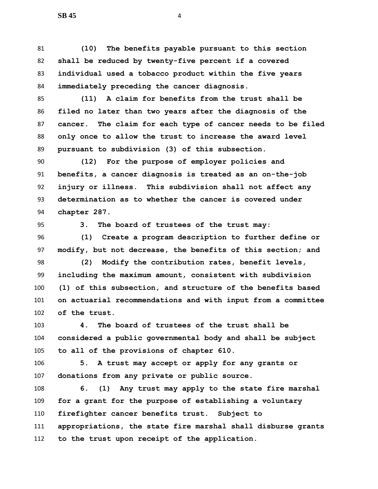**(10) The benefits payable pursuant to this section shall be reduced by twenty-five percent if a covered individual used a tobacco product within the five years immediately preceding the cancer diagnosis.**

 **(11) A claim for benefits from the trust shall be filed no later than two years after the diagnosis of the cancer. The claim for each type of cancer needs to be filed only once to allow the trust to increase the award level pursuant to subdivision (3) of this subsection.**

 **(12) For the purpose of employer policies and benefits, a cancer diagnosis is treated as an on-the-job injury or illness. This subdivision shall not affect any determination as to whether the cancer is covered under chapter 287.**

**3. The board of trustees of the trust may:**

 **(1) Create a program description to further define or modify, but not decrease, the benefits of this section; and**

 **(2) Modify the contribution rates, benefit levels, including the maximum amount, consistent with subdivision (1) of this subsection, and structure of the benefits based on actuarial recommendations and with input from a committee of the trust.**

 **4. The board of trustees of the trust shall be considered a public governmental body and shall be subject to all of the provisions of chapter 610.**

 **5. A trust may accept or apply for any grants or donations from any private or public source.**

 **6. (1) Any trust may apply to the state fire marshal for a grant for the purpose of establishing a voluntary firefighter cancer benefits trust. Subject to appropriations, the state fire marshal shall disburse grants to the trust upon receipt of the application.**